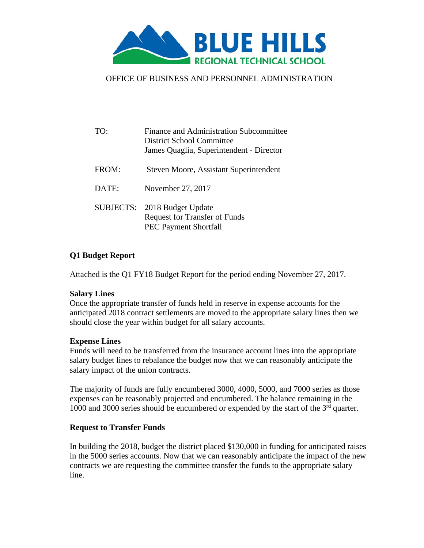

## OFFICE OF BUSINESS AND PERSONNEL ADMINISTRATION

| T()              | Finance and Administration Subcommittee<br><b>District School Committee</b><br>James Quaglia, Superintendent - Director |
|------------------|-------------------------------------------------------------------------------------------------------------------------|
| FROM:            | Steven Moore, Assistant Superintendent                                                                                  |
| DATE:            | November 27, 2017                                                                                                       |
| <b>SUBJECTS:</b> | 2018 Budget Update<br><b>Request for Transfer of Funds</b><br><b>PEC Payment Shortfall</b>                              |

## **Q1 Budget Report**

Attached is the Q1 FY18 Budget Report for the period ending November 27, 2017.

#### **Salary Lines**

Once the appropriate transfer of funds held in reserve in expense accounts for the anticipated 2018 contract settlements are moved to the appropriate salary lines then we should close the year within budget for all salary accounts.

#### **Expense Lines**

Funds will need to be transferred from the insurance account lines into the appropriate salary budget lines to rebalance the budget now that we can reasonably anticipate the salary impact of the union contracts.

The majority of funds are fully encumbered 3000, 4000, 5000, and 7000 series as those expenses can be reasonably projected and encumbered. The balance remaining in the 1000 and 3000 series should be encumbered or expended by the start of the  $3<sup>rd</sup>$  quarter.

#### **Request to Transfer Funds**

In building the 2018, budget the district placed \$130,000 in funding for anticipated raises in the 5000 series accounts. Now that we can reasonably anticipate the impact of the new contracts we are requesting the committee transfer the funds to the appropriate salary line.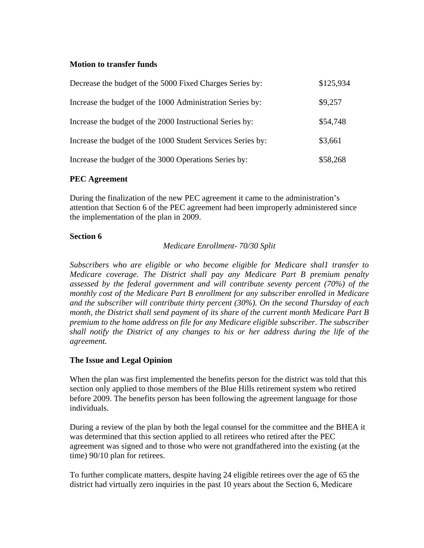#### **Motion to transfer funds**

| Decrease the budget of the 5000 Fixed Charges Series by:    |          |  |  |
|-------------------------------------------------------------|----------|--|--|
| Increase the budget of the 1000 Administration Series by:   | \$9,257  |  |  |
| Increase the budget of the 2000 Instructional Series by:    | \$54,748 |  |  |
| Increase the budget of the 1000 Student Services Series by: | \$3,661  |  |  |
| Increase the budget of the 3000 Operations Series by:       | \$58,268 |  |  |

## **PEC Agreement**

During the finalization of the new PEC agreement it came to the administration's attention that Section 6 of the PEC agreement had been improperly administered since the implementation of the plan in 2009.

## **Section 6**

*Medicare Enrollment- 70/30 Split* 

*Subscribers who are eligible or who become eligible for Medicare shal1 transfer to Medicare coverage. The District shall pay any Medicare Part B premium penalty assessed by the federal government and will contribute seventy percent (70%) of the monthly cost of the Medicare Part B enrollment for any subscriber enrolled in Medicare and the subscriber will contribute thirty percent (30%). On the second Thursday of each month, the District shall send payment of its share of the current month Medicare Part B premium to the home address on file for any Medicare eligible subscriber. The subscriber shall notify the District of any changes to his or her address during the life of the agreement.* 

# **The Issue and Legal Opinion**

When the plan was first implemented the benefits person for the district was told that this section only applied to those members of the Blue Hills retirement system who retired before 2009. The benefits person has been following the agreement language for those individuals.

During a review of the plan by both the legal counsel for the committee and the BHEA it was determined that this section applied to all retirees who retired after the PEC agreement was signed and to those who were not grandfathered into the existing (at the time) 90/10 plan for retirees.

To further complicate matters, despite having 24 eligible retirees over the age of 65 the district had virtually zero inquiries in the past 10 years about the Section 6, Medicare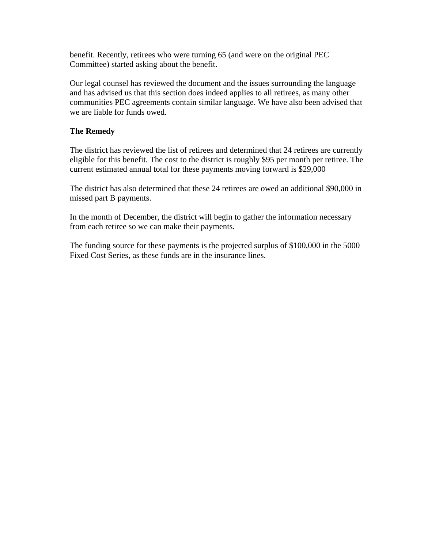benefit. Recently, retirees who were turning 65 (and were on the original PEC Committee) started asking about the benefit.

Our legal counsel has reviewed the document and the issues surrounding the language and has advised us that this section does indeed applies to all retirees, as many other communities PEC agreements contain similar language. We have also been advised that we are liable for funds owed.

## **The Remedy**

The district has reviewed the list of retirees and determined that 24 retirees are currently eligible for this benefit. The cost to the district is roughly \$95 per month per retiree. The current estimated annual total for these payments moving forward is \$29,000

The district has also determined that these 24 retirees are owed an additional \$90,000 in missed part B payments.

In the month of December, the district will begin to gather the information necessary from each retiree so we can make their payments.

The funding source for these payments is the projected surplus of \$100,000 in the 5000 Fixed Cost Series, as these funds are in the insurance lines.